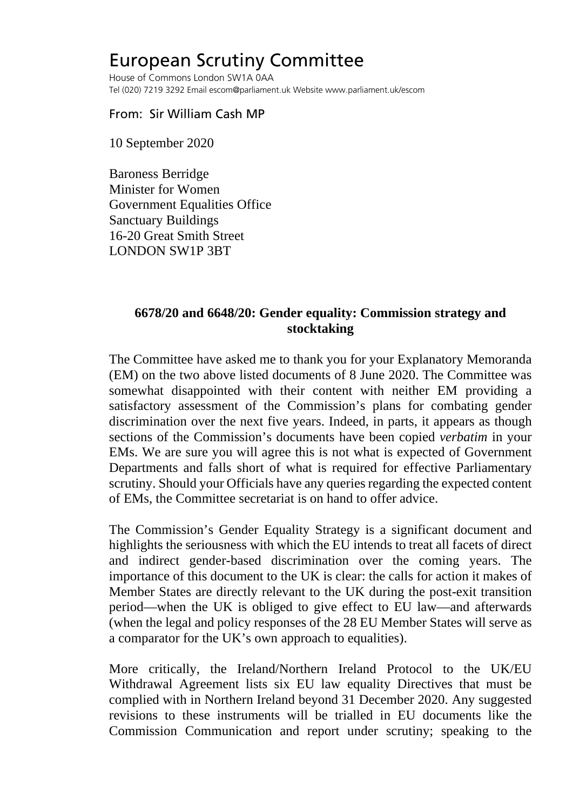## European Scrutiny Committee

House of Commons London SW1A 0AA Tel (020) 7219 3292 Email escom@parliament.uk Website www.parliament.uk/escom

## From: Sir William Cash MP

10 September 2020

Baroness Berridge Minister for Women Government Equalities Office Sanctuary Buildings 16-20 Great Smith Street LONDON SW1P 3BT

## **6678/20 and 6648/20: Gender equality: Commission strategy and stocktaking**

The Committee have asked me to thank you for your Explanatory Memoranda (EM) on the two above listed documents of 8 June 2020. The Committee was somewhat disappointed with their content with neither EM providing a satisfactory assessment of the Commission's plans for combating gender discrimination over the next five years. Indeed, in parts, it appears as though sections of the Commission's documents have been copied *verbatim* in your EMs. We are sure you will agree this is not what is expected of Government Departments and falls short of what is required for effective Parliamentary scrutiny. Should your Officials have any queries regarding the expected content of EMs, the Committee secretariat is on hand to offer advice.

The Commission's Gender Equality Strategy is a significant document and highlights the seriousness with which the EU intends to treat all facets of direct and indirect gender-based discrimination over the coming years. The importance of this document to the UK is clear: the calls for action it makes of Member States are directly relevant to the UK during the post-exit transition period—when the UK is obliged to give effect to EU law—and afterwards (when the legal and policy responses of the 28 EU Member States will serve as a comparator for the UK's own approach to equalities).

More critically, the Ireland/Northern Ireland Protocol to the UK/EU Withdrawal Agreement lists six EU law equality Directives that must be complied with in Northern Ireland beyond 31 December 2020. Any suggested revisions to these instruments will be trialled in EU documents like the Commission Communication and report under scrutiny; speaking to the